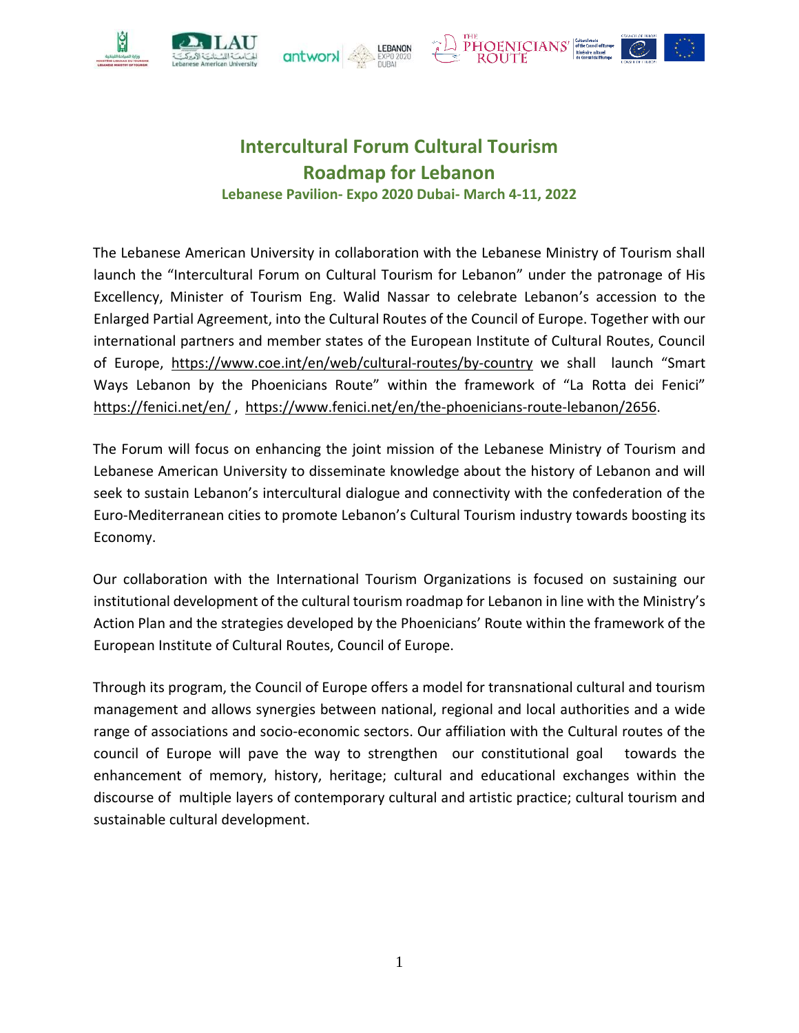







# **Intercultural Forum Cultural Tourism Roadmap for Lebanon Lebanese Pavilion- Expo 2020 Dubai- March 4-11, 2022**

The Lebanese American University in collaboration with the Lebanese Ministry of Tourism shall launch the "Intercultural Forum on Cultural Tourism for Lebanon" under the patronage of His Excellency, Minister of Tourism Eng. Walid Nassar to celebrate Lebanon's accession to the Enlarged Partial Agreement, into the Cultural Routes of the Council of Europe. Together with our international partners and member states of the European Institute of Cultural Routes, Council of Europe, <https://www.coe.int/en/web/cultural-routes/by-country> we shall launch "Smart Ways Lebanon by the Phoenicians Route" within the framework of "La Rotta dei Fenici" <https://fenici.net/en/>[,](https://fenici.net/en/) https://www.fenici.net/en/the-phoenicians-route-lebanon/2656.

The Forum will focus on enhancing the joint mission of the Lebanese Ministry of Tourism and Lebanese American University to disseminate knowledge about the history of Lebanon and will seek to sustain Lebanon's intercultural dialogue and connectivity with the confederation of the Euro-Mediterranean cities to promote Lebanon's Cultural Tourism industry towards boosting its Economy.

Our collaboration with the International Tourism Organizations is focused on sustaining our institutional development of the cultural tourism roadmap for Lebanon in line with the Ministry's Action Plan and the strategies developed by the Phoenicians' Route within the framework of the European Institute of Cultural Routes, Council of Europe.

Through its program, the Council of Europe offers a model for transnational cultural and tourism management and allows synergies between national, regional and local authorities and a wide range of associations and socio-economic sectors. Our affiliation with the Cultural routes of the council of Europe will pave the way to strengthen our constitutional goal towards the enhancement of memory, history, heritage; cultural and educational exchanges within the discourse of multiple layers of contemporary cultural and artistic practice; cultural tourism and sustainable cultural development.